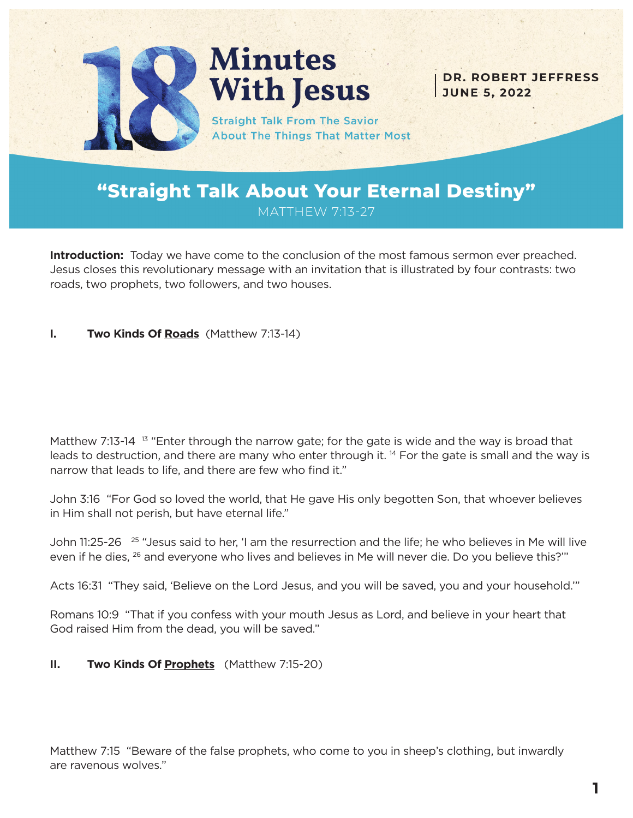

# **Minutes With Jesus**

**Straight Talk From The Savior About The Things That Matter Most** 

**DR. ROBERT JEFFRESS JUNE 5, 2022**

### **"Straight Talk About Your Eternal Destiny"** MATTHEW 7:13-27

**Introduction:** Today we have come to the conclusion of the most famous sermon ever preached. Jesus closes this revolutionary message with an invitation that is illustrated by four contrasts: two roads, two prophets, two followers, and two houses.

#### **I. Two Kinds Of Roads** (Matthew 7:13-14)

Matthew 7:13-14  $13$  "Enter through the narrow gate; for the gate is wide and the way is broad that leads to destruction, and there are many who enter through it. <sup>14</sup> For the gate is small and the way is narrow that leads to life, and there are few who find it."

John 3:16 "For God so loved the world, that He gave His only begotten Son, that whoever believes in Him shall not perish, but have eternal life."

John 11:25-26<sup>25</sup> "Jesus said to her, 'I am the resurrection and the life; he who believes in Me will live even if he dies, <sup>26</sup> and everyone who lives and believes in Me will never die. Do you believe this?""

Acts 16:31 "They said, 'Believe on the Lord Jesus, and you will be saved, you and your household.'"

Romans 10:9 "That if you confess with your mouth Jesus as Lord, and believe in your heart that God raised Him from the dead, you will be saved."

#### **II. Two Kinds Of Prophets** (Matthew 7:15-20)

Matthew 7:15 "Beware of the false prophets, who come to you in sheep's clothing, but inwardly are ravenous wolves."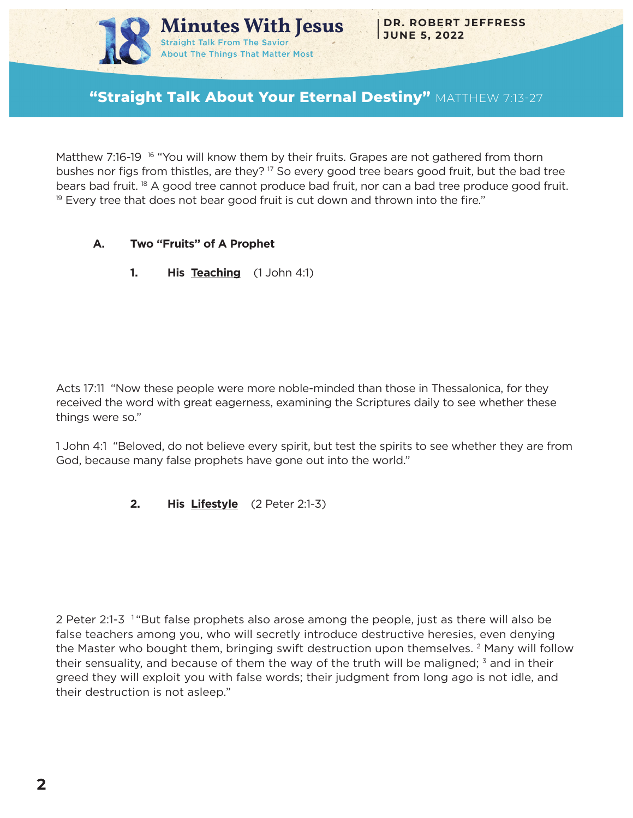

## **"Straight Talk About Your Eternal Destiny"** MATTHEW 7:13-27

Matthew 7:16-19 <sup>16</sup> "You will know them by their fruits. Grapes are not gathered from thorn bushes nor figs from thistles, are they? 17 So every good tree bears good fruit, but the bad tree bears bad fruit. 18 A good tree cannot produce bad fruit, nor can a bad tree produce good fruit.  $19$  Every tree that does not bear good fruit is cut down and thrown into the fire."

- **A. Two "Fruits" of A Prophet**
	- **1. His Teaching** (1 John 4:1)

Acts 17:11 "Now these people were more noble-minded than those in Thessalonica, for they received the word with great eagerness, examining the Scriptures daily to see whether these things were so."

1 John 4:1 "Beloved, do not believe every spirit, but test the spirits to see whether they are from God, because many false prophets have gone out into the world."

**2. His Lifestyle** (2 Peter 2:1-3)

2 Peter 2:1-3 <sup>1</sup> "But false prophets also arose among the people, just as there will also be false teachers among you, who will secretly introduce destructive heresies, even denying the Master who bought them, bringing swift destruction upon themselves. 2 Many will follow their sensuality, and because of them the way of the truth will be maligned;  $3$  and in their greed they will exploit you with false words; their judgment from long ago is not idle, and their destruction is not asleep."